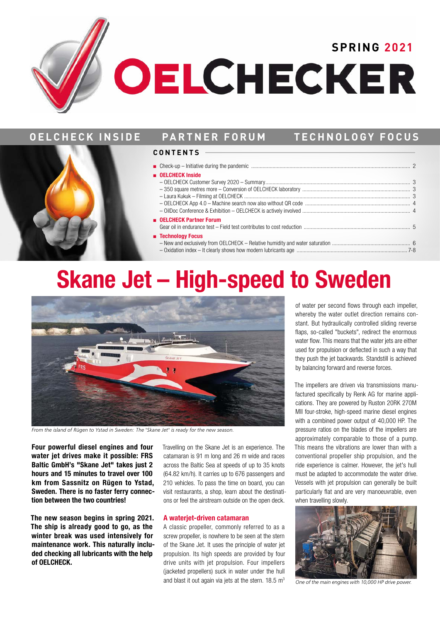# **OELCHECKER**

### **OELCHECK INSIDE PARTNER FORUM TECHNOLOGY FOCUS**



### ■ **OELCHECK Inside**

- OELCHECK Customer Survey 2020 Summary...................................................................................................... 3 – 350 square metres more – Conversion of OELCHECK laboratory ............................................................................ 3 – Laura Kukuk – Filming at OELCHECK ..................................................................................................................... 3
- OELCHECK App 4.0 Machine search now also without QR code .......................................................................... 4 – OilDoc Conference & Exhibition – OELCHECK is actively involved ............................................................................ 4

### **OELCHECK Partner Forum**

- Gear oil in endurance test Field test contributes to cost reduction ........................................................................... 5 ■ **Technology Focus**  – New and exclusively from OELCHECK – Relative humidity and water saturation ....................................................... 6
	- Oxidation index It clearly shows how modern lubricants age .............................................................................. 7-8

## **Skane Jet – High-speed to Sweden**



*From the island of Rügen to Ystad in Sweden: The "Skane Jet" is ready for the new season.* 

**Four powerful diesel engines and four water jet drives make it possible: FRS Baltic GmbH's "Skane Jet" takes just 2 hours and 15 minutes to travel over 100 km from Sassnitz on Rügen to Ystad, Sweden. There is no faster ferry connection between the two countries!** 

**The new season begins in spring 2021. The ship is already good to go, as the winter break was used intensively for maintenance work. This naturally included checking all lubricants with the help of OELCHECK.** 

Travelling on the Skane Jet is an experience. The catamaran is 91 m long and 26 m wide and races across the Baltic Sea at speeds of up to 35 knots (64.82 km/h). It carries up to 676 passengers and 210 vehicles. To pass the time on board, you can visit restaurants, a shop, learn about the destinations or feel the airstream outside on the open deck.

### **A waterjet-driven catamaran**

A classic propeller, commonly referred to as a screw propeller, is nowhere to be seen at the stern of the Skane Jet. It uses the principle of water jet propulsion. Its high speeds are provided by four drive units with jet propulsion. Four impellers (jacketed propellers) suck in water under the hull and blast it out again via jets at the stern.  $18.5 \text{ m}^3$  of water per second flows through each impeller, whereby the water outlet direction remains constant. But hydraulically controlled sliding reverse flaps, so-called "buckets", redirect the enormous water flow. This means that the water jets are either used for propulsion or deflected in such a way that they push the jet backwards. Standstill is achieved by balancing forward and reverse forces.

The impellers are driven via transmissions manufactured specifically by Renk AG for marine applications. They are powered by Ruston 20RK 270M MII four-stroke, high-speed marine diesel engines with a combined power output of 40,000 HP. The pressure ratios on the blades of the impellers are approximately comparable to those of a pump. This means the vibrations are lower than with a conventional propeller ship propulsion, and the ride experience is calmer. However, the jet's hull must be adapted to accommodate the water drive. Vessels with jet propulsion can generally be built particularly flat and are very manoeuvrable, even when travelling slowly.



*One of the main engines with 10,000 HP drive power.*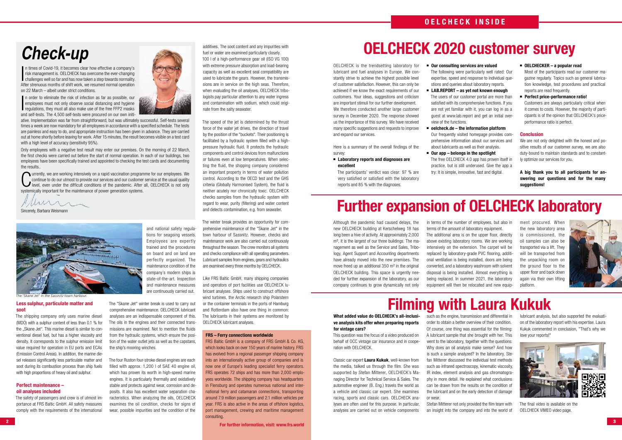### **Less sulphur, particulate matter and soot**

The shipping company only uses marine diesel (MDO) with a sulphur content of less than 0.1 % for the ..Skane Jet". This marine diesel is similar to conventional diesel fuel, but has a higher viscosity and density. It corresponds to the sulphur emission limit value required for operation in EU ports and ECAs (Emission Control Areas). In addition, the marine diesel releases significantly less particulate matter and soot during its combustion process than ship fuels with high proportions of heavy oil and sulphur.

### **Perfect maintenance – oil analyses included**

The safety of passengers and crew is of utmost importance at FRS Baltic GmbH. All safety measures comply with the requirements of the international



and national safety regulations for seagoing vessels.

trained and the procedures

maintenance condition of the company's modern ships is state-of-the-art. Inspection



The speed of the jet is determined by the thrust force of the water jet drives, the direction of travel by the position of the "buckets". Their positioning is facilitated by a hydraulic system filled with a highpressure hydraulic fluid. It protects the hydraulic components and control devices from malfunctions or failures even at low temperatures. When selecting the fluid, the shipping company considered an important property in terms of water pollution control. According to the OECD test and the GHS criteria (Globally Harmonised System), the fluid is neither acutely nor chronically toxic. OELCHECK checks samples from the hydraulic system with regard to wear, purity (filtering) and water content and detects contamination, e.g. from seawater.

The four Ruston four-stroke diesel engines are each filled with approx. 1,200 l of SAE 40 engine oil, which has proven its worth in high-speed marine engines. It is particularly thermally and oxidatively stable and protects against wear, corrosion and deposits. It also has excellent water separation characteristics. When analyzing the oils, OELCHECK examines the oil condition, checks for signs of wear, possible impurities and the condition of the

 $\frac{1}{2}$ ■ n times of Covid-19, it becomes clear how effective a company's risk management is. OELCHECK has overcome the ever-changing challenges well so far and has now taken a step towards normality. After strenuous months of shift work, we resumed normal operation on 22 March – albeit under strict conditions.

additives. The soot content and any impurities with fuel or water are examined particularly closely. 100 l of a high-performance gear oil (ISO VG 100) with extreme pressure absorption and load-bearing capacity as well as excellent seal compatibility are used to lubricate the gears. However, the transmissions are in service on the high seas. Therefore, when evaluating the oil analyses, OELCHECK tribologists pay particular attention to any water ingress and contamination with sodium, which could originate from the salty seawater.

**2 3 For further information, visit: www.frs.world** 

The winter break provides an opportunity for comprehensive maintenance of the "Skane Jet" in the town harbour of Sassnitz. However, checks and maintenance work are also carried out continuously throughout the season. The crew monitors all systems and checks compliance with all operating parameters. Lubricant samples from engines, gears and hydraulics are examined every three months by OELCHECK.

Like FRS Baltic GmbH, many shipping companies and operators of port facilities use OELCHECK lubricant analyses. Ships used to construct offshore wind turbines, the Arctic research ship Polarstern or the container terminals in the ports of Hamburg and Rotterdam also have one thing in common: The lubricants in their systems are monitored by OELCHECK lubricant analyses.

# **Check-up**



ative. Implementation was far from straightforward, but was ultimately successful. Self-tests several times a week are now mandatory for all employees in accordance with a specified schedule. The tests are painless and easy to do, and appropriate instruction has been given in advance. They are carried out at home shortly before leaving for work. After 15 minutes, the result becomes visible on a test card with a high level of accuracy (sensitivity 95%).

Only employees with a negative test result may enter our premises. On the morning of 22 March, the first checks were carried out before the start of normal operation. In each of our buildings, two employees have been specifically trained and appointed to checking the test cards and documenting the results..

We are not only delighted with the honest and positive results of our customer survey, we are also duty-bound to maintain standards and to constantly optimize our services for you.

C **we urrently, we are working intensively on a rapid vaccination programme for our employees. We** continue to do our utmost to provide our services and our customer service at the usual quality level, even under the difficult conditions of the pandemic. After all, OELCHECK is not only systemically important for the maintenance of power generation systems.

Muri

### **FRS – Ferry connections worldwide**

FRS Baltic GmbH is a company of FRS GmbH & Co. KG, which looks back on over 150 years of marine history. FRS has evolved from a regional passenger shipping company into an internationally active group of companies and is now one of Europe's leading specialist ferry operators. FRS operates 72 ships and has more than 2,000 employees worldwide. The shipping company has headquarters in Flensburg and operates numerous national and international ferry and catamaran connections, transporting around 7.9 million passengers and 2.1 million vehicles per year. FRS is also active in the areas of offshore logistics, port management, crewing and maritime management consulting.

Sincerely, Barbara Weismann



*The "Skane Jet" in the Sassnitz town harbour.*

### **Further expansion of OELCHECK laboratory**

### **OELCHECK 2020 customer survey**

### **Filming with Laura Kukuk**

### **OELCHECK INSIDE**

**What added value do OELCHECK's all-inclusive analysis kits offer when preparing reports for vintage cars?** 

This question was the focus of a video produced on behalf of OCC vintage car insurance and in cooperation with OELCHECK.

Classic car expert **Laura Kukuk**, well-known from the media, talked us through the film. She was supported by Stefan Mitterer, OELCHECK's Managing Director for Technical Service & Sales. The automotive engineer (B. Eng.) travels the world as a vehicle and classic car expert. She examines racing, sports and classic cars. OELCHECK analyses are often used for this purpose. In particular, analyses are carried out on vehicle components

such as the engine, transmission and differential in order to obtain a better overview of their condition. Of course, one thing was essential for the filming: A lubricant sample that she brought with her. This went to the laboratory, together with the questions: Why does an oil analysis make sense? And how is such a sample analyzed? In the laboratory, Stefan Mitterer discussed the individual test methods such as infrared spectroscopy, kinematic viscosity, IR index, element analysis and gas chromatography in more detail. He explained what conclusions can be drawn from the results on the condition of the lubricant and on the early detection of damage or wear.

Stefan Mitterer not only provided the film team with an insight into the company and into the world of

lubricant analysis, but also supported the evaluation of the laboratory report with his expertise. Laura Kukuk commented in conclusion, "That's why we love your reports!"



The final video is available on the OELCHECK VIMEO video page.

OELCHECK is the trendsetting laboratory for lubricant and fuel analyses in Europe. We constantly strive to achieve the highest possible level of customer satisfaction. However, this can only be achieved if we know the exact requirements of our customers. Your ideas, suggestions and criticism are important stimuli for our further development. We therefore conducted another large customer survey in December 2020. The response showed us the importance of this survey. We have received many specific suggestions and requests to improve and expand our services.

Here is a summary of the overall findings of the survey:

 **Laboratory reports and diagnoses are excellent**

The participants' verdict was clear: 97 % are very satisfied or satisfied with the laboratory reports and 85 % with the diagnoses.

### **Our consulting services are valued** The following were particularly well rated: Our expertise, speed and response to individual questions and queries about laboratory reports.

satisfied with its comprehensive functions. If you are not yet familiar with it, you can log in as a guest at www.lab.report and get an initial over-

- **LAB.REPORT as yet not known enough**  The users of our customer portal are more than view of the functions.
- **oelcheck.de the information platform** about lubricants as well as their analysis.
- try: It is simple, innovative, fast and digital.

Our frequently visited homepage provides comprehensive information about our services and

### **Our app – belongs in the spotlight**

The free OELCHECK 4.0 app has proven itself in practice, but is still underused. Give the app a

### **OELCHECKER – a popular read**

Most of the participants read our customer magazine regularly. Topics such as general lubrication knowledge, test procedures and practical reports are read frequently.

### **Perfect price-performance ratio!** Customers are always particularly critical when it comes to costs. However, the majority of participants is of the opinion that OELCHECK's priceperformance ratio is perfect.

### **Conclusion**

**A big thank you to all participants for answering our questions and for the many suggestions!**

Although the pandemic had caused delays, the new OELCHECK building at Kerschelweg 18 has long been a hive of activity. At approximately 2,000 m², it is the largest of our three buildings. The management as well as the Service and Sales, Tribology, Agent Support and Accounting departments have already moved into the new premises. The move freed up an additional 350 m² in the original OELCHECK building. This space is urgently needed for further expansion of the laboratory, as our company continues to grow dynamically not only

in terms of the number of employees, but also in terms of the amount of laboratory equipment. The additional area is on the upper floor, directly above existing laboratory rooms. We are working intensively on the extension. The carpet will be replaced by laboratory-grade PVC flooring, additional ventilation is being installed, doors are being converted, and a laboratory washroom with solvent disposal is being installed. Almost everything is being replaced. In summer 2021, the laboratory equipment will then be relocated and new equip-

ment procured. When the new laboratory area is commissioned, the oil samples can also be transported via a lift. They will be transported from the unpacking room on the ground floor to the upper floor and back down again via their own lifting platform.

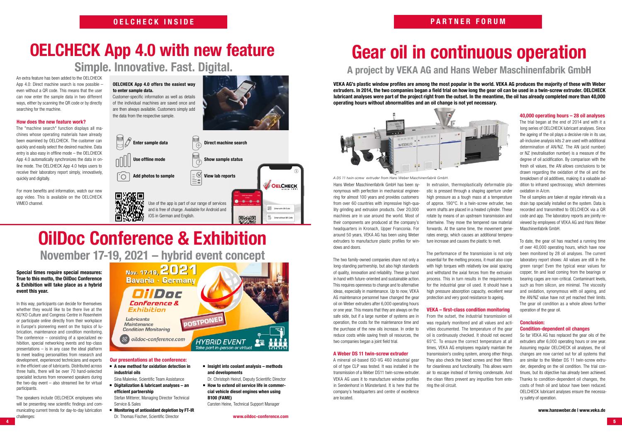# **OELCHECK App 4.0 with new feature**

**Simple. Innovative. Fast. Digital.**

# **Gear oil in continuous operation**

### **A project by VEKA AG and Hans Weber Maschinenfabrik GmbH**

# **OilDoc Conference & Exhibition**

**November 17-19, 2021 – hybrid event concept**

### **OELCHECK INSIDE**

An extra feature has been added to the OELCHECK App 4.0: Direct machine search is now possible – even without a QR code. This means that the user can now enter the sample data in two different ways, either by scanning the QR code or by directly searching for the machine.

### **How does the new feature work?**

The "machine search" function displays all machines whose operating materials have already been examined by OELCHECK. The customer can quickly and easily select the desired machine. Data entry is also easy in offline mode – the OELCHECK App 4.0 automatically synchronizes the data in online mode. The OELCHECK App 4.0 helps users to receive their laboratory report simply, innovatively, quickly and digitally.

For more benefits and information, watch our new app video. This is available on the OELCHECK VIMEO channel.

**OELCHECK App 4.0 offers the easiest way** 

**to enter sample data.** 

Customer-specific information as well as details of the individual machines are saved once and

**4 5** The speakers include OELCHECK employees who will be presenting new scientific findings and communicating current trends for day-to-day lubrication challenges:

| Nov. 17-19, 2021<br><b>Bavaria · Germany</b><br>DilDoc |                                                       |
|--------------------------------------------------------|-------------------------------------------------------|
| Conference &<br>Exhibition<br>Lubricants               | <b>POSTPONED</b>                                      |
| <b>Maintenance</b><br><b>Condition Monitoring</b>      |                                                       |
| oildoc-conference.com                                  | <b>HYBRID EVENT</b><br>Take part in-person or virtual |

**Special times require special measures: True to this motto, the OilDoc Conference & Exhibition will take place as a hybrid event this year.**

In this way, participants can decide for themselves whether they would like to be there live at the KU'KO Culture and Congress Centre in Rosenheim or participate online directly from their workplace in Europe's pioneering event on the topics of lubrication, maintenance and condition monitoring. The conference – consisting of a specialized exhibition, special networking events and top-class presentations – is in any case the ideal platform to meet leading personalities from research and development, experienced technicians and experts in the efficient use of lubricants. Distributed across three halls, there will be over 70 hand-selected specialist lectures from renowned speakers during the two-day event – also streamed live for virtual participants.



### **Our presentations at the conference:**

 **A new method for oxidation detection in industrial oils**

Sina Malenke, Scientific Team Assistance

 **Digitalization & lubricant analyses – an efficient partnership**

Stefan Mitterer, Managing Director Technical Service & Sales

- **Monitoring of antioxidant depletion by FT-IR** Dr. Thomas Fischer, Scientific Director
- **Insight into coolant analysis methods and developments**
- Dr. Christoph Heinzl, Deputy Scientific Director
- $\blacksquare$  How to extend oil service life in commer**cial vehicle diesel engines when using B100 (FAME)**

Carsten Heine, Technical Support Manager

**VEKA AG's plastic window profiles are among the most popular in the world. VEKA AG produces the majority of these with Weber extruders. In 2014, the two companies began a field trial on how long the gear oil can be used in a twin-screw extruder. OELCHECK lubricant analyses were part of the project right from the outset. In the meantime, the oil has already completed more than 40,000 operating hours without abnormalities and an oil change is not yet necessary.**



Hans Weber Maschinenfabrik GmbH has been synonymous with perfection in mechanical engineering for almost 100 years and provides customers from over 60 countries with impressive high-quality grinding and extrusion products. Over 20,000 machines are in use around the world. Most of their components are produced at the company's headquarters in Kronach, Upper Franconia. For around 50 years, VEKA AG has been using Weber extruders to manufacture plastic profiles for windows and doors.

The two family-owned companies share not only a long-standing partnership, but also high standards of quality, innovation and reliability. These go hand in hand with future-oriented and sustainable action. This requires openness to change and to alternative ideas, especially in maintenance. Up to now, VEKA AG maintenance personnel have changed the gear oil on Weber extruders after 6,000 operating hours or one year. This means that they are always on the safe side, but if a large number of systems are in operation, the costs for the maintenance time and the purchase of the new oils increase. In order to reduce costs while saving fresh oil resources, the two companies began a joint field trial.

### **A Weber DS 11 twin-screw extruder**

A mineral oil-based ISO-VG 460 industrial gear oil of type CLP was tested. It was installed in the transmission of a Weber DS11 twin-screw extruder. VEKA AG uses it to manufacture window profiles in Sendenhorst in Münsterland. It is here that the company's headquarters and centre of excellence are located.

In extrusion, thermoplastically deformable plastic is pressed through a shaping aperture under high pressure as a tough mass at a temperature of approx. 190°C. In a twin-screw extruder, two worm shafts are placed in a heated cylinder. These rotate by means of an upstream transmission and intertwine. They move the tempered raw material forwards. At the same time, the movement generates energy, which causes an additional temperature increase and causes the plastic to melt.

The performance of the transmission is not only essential for the melting process, it must also cope with high torques with relatively low axial spacing and withstand the axial forces from the extrusion process. This in turn results in the requirements for the industrial gear oil used. It should have a high pressure absorption capacity, excellent wear protection and very good resistance to ageing.

### **VEKA – first-class condition monitoring**

From the outset, the industrial transmission oil was regularly monitored and all values and activities documented. The temperature of the gear oil is continuously checked. It should not exceed 65°C. To ensure the correct temperature at all times, VEKA AG employees regularly maintain the transmission's cooling system, among other things. They also check the bleed screws and their filters for cleanliness and functionality. This allows warm air to escape instead of forming condensate. And the clean filters prevent any impurities from entering the oil circuit.

### **40,000 operating hours – 28 oil analyses**

The trial began at the end of 2014 and with it a long series of OELCHECK lubricant analyses. Since the ageing of the oil plays a decisive role in its use, all-inclusive analysis kits 2 are used with additional determination of AN/NZ. The AN (acid number) or NZ (neutralisation number) is a measure of the degree of oil acidification. By comparison with the fresh oil values, the AN allows conclusions to be drawn regarding the oxidation of the oil and the breakdown of oil additives, making it a valuable addition to infrared spectroscopy, which determines oxidation in A/cm.

The oil samples are taken at regular intervals via a drain tap specially installed on the system. Data is recorded and transmitted to OELCHECK via a QR code and app. The laboratory reports are jointly reviewed by employees of VEKA AG and Hans Weber Maschinenfabrik GmbH.

To date, the gear oil has reached a running time of over 40,000 operating hours, which have now been monitored by 28 oil analyses. The current laboratory report shows: All values are still in the green range! Even the typical wear values for copper, tin and lead coming from the bearings or bearing cages are non-critical. Contaminant levels, such as from silicon, are minimal. The viscosity and oxidation, synonymous with oil ageing, and the AN/NZ value have not yet reached their limits. The gear oil condition as a whole allows further operation of the gear oil.

### **Conclusion: Condition-dependent oil changes**

So far VEKA AG has replaced the gear oils of the extruders after 6,000 operating hours or one year. Assuming regular OELCHECK oil analyses, the oil changes are now carried out for all systems that are similar to the Weber DS 11 twin-screw extruder, depending on the oil condition. The trial continues, but its objective has already been achieved. Thanks to condition-dependent oil changes, the costs of fresh oil and labour have been reduced. OELCHECK lubricant analyses ensure the necessary safety of operation.

*A DS 11 twin-screw extruder from Hans Weber Maschinenfabrik GmbH.*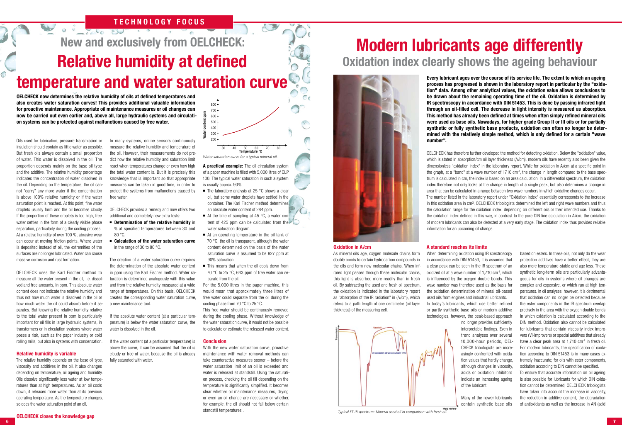# **New and exclusively from OELCHECK: Relative humidity at defined temperature and water saturation curve**

### **TECHNOLOGY FOCUS**

**OELCHECK now determines the relative humidity of oils at defined temperatures and also creates water saturation curves! This provides additional valuable information for proactive maintenance. Appropriate oil maintenance measures or oil changes can now be carried out even earlier and, above all, large hydraulic systems and circulation systems can be protected against malfunctions caused by free water.** 

Oils used for lubrication, pressure transmission or insulation should contain as little water as possible. But fresh oils always contain a small proportion of water. This water is dissolved in the oil. The proportion depends mainly on the base oil type and the additive. The relative humidity percentage indicates the concentration of water dissolved in the oil. Depending on the temperature, the oil cannot "carry" any more water if the concentration is above 100% relative humidity or if the water saturation point is reached. At this point, fine water droplets usually form and the oil becomes cloudy. If the proportion of these droplets is too high, free water settles in the form of a clearly visible phase separation, particularly during the cooling process. At a relative humidity of over 100 %, abrasive wear can occur at moving friction points. Where water is deposited instead of oil, the extremities of the surfaces are no longer lubricated. Water can cause massive corrosion and rust formation.

OELCHECK uses the Karl Fischer method to measure all the water present in the oil, i.e. dissolved and free amounts, in ppm. This absolute water content does not indicate the relative humidity and thus not how much water is dissolved in the oil or how much water the oil could absorb before it separates. But knowing the relative humidity relative to the total water present in ppm is particularly important for oil fills in large hydraulic systems, in transformers or in circulation systems where water poses a risk, such as the paper industry or cold rolling mills, but also in systems with condensation.

The creation of a water saturation curve requires the determination of the absolute water content in ppm using the Karl Fischer method. Water saturation is determined analogously with this value and from the relative humidity measured at a wide range of temperatures. On this basis, OELCHECK creates the corresponding water saturation curve, a new maintenance tool.

### **Relative humidity is variable**

The relative humidity depends on the base oil type, viscosity and additives in the oil. It also changes depending on temperature, oil ageing and humidity. Oils dissolve significantly less water at low temperatures than at high temperatures. As an oil cools down, it releases more water than at its previous operating temperature. As the temperature changes, so does the water saturation point of an oil.

- $\blacksquare$  The laboratory analysis at 25 °C shows a clear oil, but some water droplets have settled in the container. The Karl Fischer method determines an absolute water content of 284 ppm.
- At the time of sampling at 45 °C, a water content of 425 ppm can be calculated from the water saturation diagram.
- At an operating temperature in the oil tank of 70 °C, the oil is transparent, although the water content determined on the basis of the water saturation curve is assumed to be 927 ppm at 90% saturation.
- This means that when the oil cools down from 70 °C to 25 °C, 643 ppm of free water can separate from the oil.

In many systems, online sensors continuously measure the relative humidity and temperature of the oil. However, their measurements do not predict how the relative humidity and saturation limit react when temperatures change or even how high the total water content is. But it is precisely this knowledge that is important so that appropriate measures can be taken in good time, in order to protect the systems from malfunctions caused by free water.

OELCHECK provides a remedy and now offers two additional and completely new extra tests:

- **Determination of the relative humidity** in % at specified temperatures between 30 and 80 °C.
- **Calculation of the water saturation curve**  in the range of 30 to 80 °C.

If the absolute water content (at a particular temperature) is below the water saturation curve, the water is dissolved in the oil.

If the water content (at a particular temperature) is above the curve, it can be assumed that the oil is cloudy or free of water, because the oil is already fully saturated with water.

which is stated in absorption/cm oil layer thickness (A/cm), modern oils have recently also been given the dimensionless "oxidation index" in the laboratory report. While for oxidation in A/cm at a specific point in the graph, at a "band" at a wave number of  $1710 \text{ cm}^{-1}$ , the change in length compared to the base spectrum is calculated in cm, the index is based on an area calculation. In a differential spectrum, the oxidation index therefore not only looks at the change in length of a single peak, but also determines a change in area that can be calculated in a range between two wave numbers in which oxidative changes occur. The number listed in the laboratory report under "Oxidation Index" essentially corresponds to the increase in this oxidation area in cm<sup>2</sup>. OELCHECK tribologists determined the left and right wave numbers and thus the calculation range for the oxidation index, depending on different oils or their intended use. Thanks to the oxidation index defined in this way, in contrast to the pure DIN line calculation in A/cm, the oxidation of modern lubricants can also be detected at a very early stage. The oxidation index thus provides reliable information for an upcoming oil change.

**A practical example:** The oil circulation system of a paper machine is filled with 5,000 litres of CLP 100. The typical water saturation in such a system is usually approx. 90%.

For the 5,000 litres in the paper machine, this would mean that approximately three litres of free water could separate from the oil during the cooling phase from 70 °C to 25 °C.

This free water should be continuously removed during the cooling phase. Without knowledge of the water saturation curve, it would not be possible to calculate or estimate the released water content.

### **Conclusion**

With the new water saturation curve, proactive maintenance with water removal methods can take counteractive measures sooner – before the water saturation limit of an oil is exceeded and water is released at standstill. Using the saturation process, checking the oil fill depending on the temperature is significantly simplified. It becomes clear whether oil maintenance measures, drying or even an oil change are necessary or whether, for example, the oil should not fall below certain standstill temperatures..

### **Modern lubricants age differently Oxidation index clearly shows the ageing behaviour**



**Every lubricant ages over the course of its service life. The extent to which an ageing process has progressed is shown in the laboratory report in particular by the "oxidation" data. Among other analytical values, the oxidation value allows conclusions to be drawn about the remaining operating time of the oil. Oxidation is determined by IR spectroscopy in accordance with DIN 51453. This is done by passing infrared light through an oil-filled cell. The decrease in light intensity is measured as absorption. This method has already been defined at times when often simply refined mineral oils were used as base oils. Nowadays, for higher grade Group II or III oils or for partially synthetic or fully synthetic base products, oxidation can often no longer be determined with the relatively simple method, which is only defined for a certain "wave number".**  OELCHECK has therefore further developed the method for detecting oxidation. Below the "oxidation" value,

### **Oxidation in A/cm**

As mineral oils age, oxygen molecule chains form double bonds to certain hydrocarbon compounds in the oils and form new molecular chains. When infrared light passes through these molecular chains, this light is absorbed more readily than in fresh oil. By subtracting the used and fresh oil spectrum, the oxidation is indicated in the laboratory report as "absorption of the IR radiation" in (A/cm), which refers to a path length of one centimetre (oil layer thickness) of the measuring cell.



 $\overline{\bigcap}$ 

### **A standard reaches its limits**

When determining oxidation using IR spectroscopy in accordance with DIN 51453, it is assumed that a clear peak can be seen in the IR spectrum of an oxidized oil at a wave number of 1,710 cm-1 , which is influenced by the oxygen double bonds. This wave number was therefore used as the basis for the oxidation determination of mineral oil-based used oils from engines and industrial lubricants. In today's lubricants, which use better refined or partly synthetic base oils or modern additive technologies, however, the peak-based approach

no longer provides sufficiently interpretable findings. Even in trend analyses over several 10,000-hour periods, OEL-CHECK tribologists are increasingly confronted with oxidation values that hardly change, although changes in viscosity, acids or oxidation inhibitors indicate an increasing ageing of the lubricant.

Many of the newer lubricants contain synthetic base oils based on esters. In these oils, not only do the wear protection additives have a better effect, they are also more temperature-stable and age less. These synthetic long-term oils are particularly advantageous for oils in systems where oil changes are complex and expensive, or which run at high temperatures. In oil analyses, however, it is detrimental that oxidation can no longer be detected because the ester components in the IR spectrum overlap precisely in the area with the oxygen double bonds in which oxidation is calculated according to the DIN method. Oxidation also cannot be calculated for lubricants that contain viscosity index improvers (VI-improvers) or special additives that already have a clear peak area at 1,710 cm<sup>-1</sup> in fresh oil. For modern lubricants, the specification of oxidation according to DIN 51453 is in many cases extremely inaccurate; for oils with ester components, oxidation according to DIN cannot be specified. To ensure that accurate information on oil ageing is also possible for lubricants for which DIN oxidation cannot be determined, OELCHECK tribologists have taken into account the increase in viscosity the reduction in additive content, the degradation of antioxidants as well as the increase in AN (acid

*Typical FT-IR spectrum: Mineral used oil in comparison with fresh oil.*